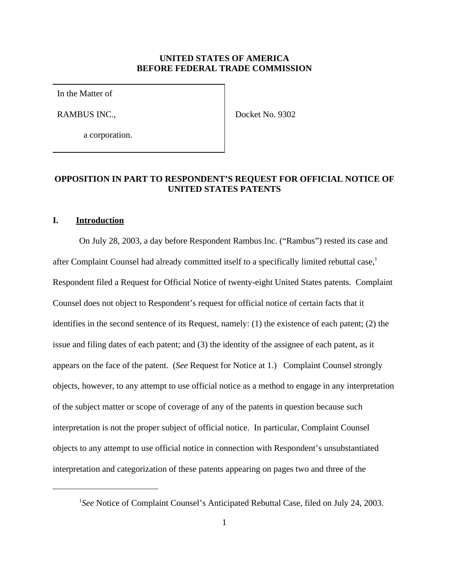#### **UNITED STATES OF AMERICA BEFORE FEDERAL TRADE COMMISSION**

In the Matter of

RAMBUS INC.,

Docket No. 9302

a corporation.

# **OPPOSITION IN PART TO RESPONDENT'S REQUEST FOR OFFICIAL NOTICE OF UNITED STATES PATENTS**

#### **I. Introduction**

On July 28, 2003, a day before Respondent Rambus Inc. ("Rambus") rested its case and after Complaint Counsel had already committed itself to a specifically limited rebuttal case,<sup>1</sup> Respondent filed a Request for Official Notice of twenty-eight United States patents. Complaint Counsel does not object to Respondent's request for official notice of certain facts that it identifies in the second sentence of its Request, namely: (1) the existence of each patent; (2) the issue and filing dates of each patent; and (3) the identity of the assignee of each patent, as it appears on the face of the patent. (*See* Request for Notice at 1.) Complaint Counsel strongly objects, however, to any attempt to use official notice as a method to engage in any interpretation of the subject matter or scope of coverage of any of the patents in question because such interpretation is not the proper subject of official notice. In particular, Complaint Counsel objects to any attempt to use official notice in connection with Respondent's unsubstantiated interpretation and categorization of these patents appearing on pages two and three of the

<sup>&</sup>lt;sup>1</sup>See Notice of Complaint Counsel's Anticipated Rebuttal Case, filed on July 24, 2003.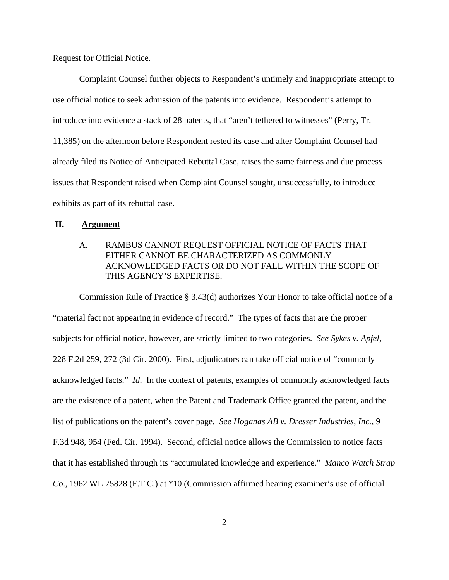Request for Official Notice.

Complaint Counsel further objects to Respondent's untimely and inappropriate attempt to use official notice to seek admission of the patents into evidence. Respondent's attempt to introduce into evidence a stack of 28 patents, that "aren't tethered to witnesses" (Perry, Tr. 11,385) on the afternoon before Respondent rested its case and after Complaint Counsel had already filed its Notice of Anticipated Rebuttal Case, raises the same fairness and due process issues that Respondent raised when Complaint Counsel sought, unsuccessfully, to introduce exhibits as part of its rebuttal case.

#### **II. Argument**

## A. RAMBUS CANNOT REQUEST OFFICIAL NOTICE OF FACTS THAT EITHER CANNOT BE CHARACTERIZED AS COMMONLY ACKNOWLEDGED FACTS OR DO NOT FALL WITHIN THE SCOPE OF THIS AGENCY'S EXPERTISE.

 Commission Rule of Practice § 3.43(d) authorizes Your Honor to take official notice of a "material fact not appearing in evidence of record." The types of facts that are the proper subjects for official notice, however, are strictly limited to two categories. *See Sykes v. Apfel*, 228 F.2d 259, 272 (3d Cir. 2000). First, adjudicators can take official notice of "commonly acknowledged facts." *Id*. In the context of patents, examples of commonly acknowledged facts are the existence of a patent, when the Patent and Trademark Office granted the patent, and the list of publications on the patent's cover page. *See Hoganas AB v. Dresser Industries, Inc.*, 9 F.3d 948, 954 (Fed. Cir. 1994). Second, official notice allows the Commission to notice facts that it has established through its "accumulated knowledge and experience." *Manco Watch Strap Co*., 1962 WL 75828 (F.T.C.) at \*10 (Commission affirmed hearing examiner's use of official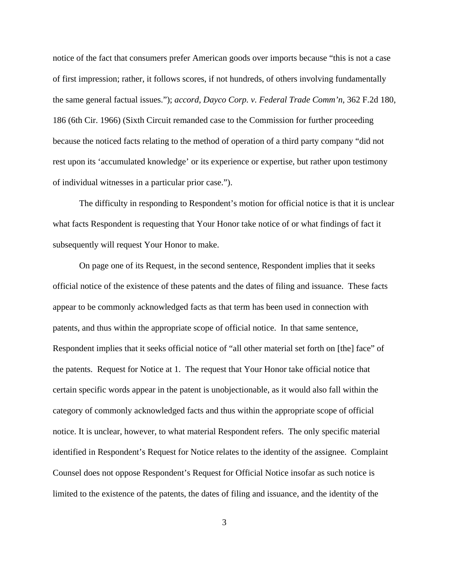notice of the fact that consumers prefer American goods over imports because "this is not a case of first impression; rather, it follows scores, if not hundreds, of others involving fundamentally the same general factual issues."); *accord, Dayco Corp. v. Federal Trade Comm'n*, 362 F.2d 180, 186 (6th Cir. 1966) (Sixth Circuit remanded case to the Commission for further proceeding because the noticed facts relating to the method of operation of a third party company "did not rest upon its 'accumulated knowledge' or its experience or expertise, but rather upon testimony of individual witnesses in a particular prior case.").

The difficulty in responding to Respondent's motion for official notice is that it is unclear what facts Respondent is requesting that Your Honor take notice of or what findings of fact it subsequently will request Your Honor to make.

On page one of its Request, in the second sentence, Respondent implies that it seeks official notice of the existence of these patents and the dates of filing and issuance. These facts appear to be commonly acknowledged facts as that term has been used in connection with patents, and thus within the appropriate scope of official notice. In that same sentence, Respondent implies that it seeks official notice of "all other material set forth on [the] face" of the patents. Request for Notice at 1. The request that Your Honor take official notice that certain specific words appear in the patent is unobjectionable, as it would also fall within the category of commonly acknowledged facts and thus within the appropriate scope of official notice. It is unclear, however, to what material Respondent refers. The only specific material identified in Respondent's Request for Notice relates to the identity of the assignee. Complaint Counsel does not oppose Respondent's Request for Official Notice insofar as such notice is limited to the existence of the patents, the dates of filing and issuance, and the identity of the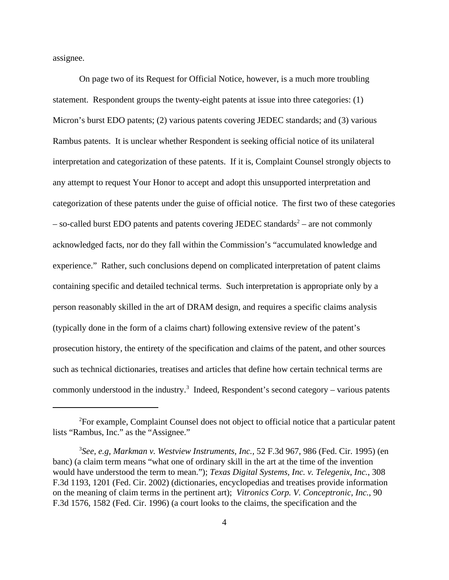assignee.

On page two of its Request for Official Notice, however, is a much more troubling statement. Respondent groups the twenty-eight patents at issue into three categories: (1) Micron's burst EDO patents; (2) various patents covering JEDEC standards; and (3) various Rambus patents. It is unclear whether Respondent is seeking official notice of its unilateral interpretation and categorization of these patents. If it is, Complaint Counsel strongly objects to any attempt to request Your Honor to accept and adopt this unsupported interpretation and categorization of these patents under the guise of official notice. The first two of these categories  $-$  so-called burst EDO patents and patents covering JEDEC standards<sup>2</sup>  $-$  are not commonly acknowledged facts, nor do they fall within the Commission's "accumulated knowledge and experience." Rather, such conclusions depend on complicated interpretation of patent claims containing specific and detailed technical terms. Such interpretation is appropriate only by a person reasonably skilled in the art of DRAM design, and requires a specific claims analysis (typically done in the form of a claims chart) following extensive review of the patent's prosecution history, the entirety of the specification and claims of the patent, and other sources such as technical dictionaries, treatises and articles that define how certain technical terms are commonly understood in the industry.<sup>3</sup> Indeed, Respondent's second category – various patents

<sup>2</sup>For example, Complaint Counsel does not object to official notice that a particular patent lists "Rambus, Inc." as the "Assignee."

<sup>3</sup> *See, e.g, Markman v. Westview Instruments, Inc.,* 52 F.3d 967, 986 (Fed. Cir. 1995) (en banc) (a claim term means "what one of ordinary skill in the art at the time of the invention would have understood the term to mean."); *Texas Digital Systems, Inc. v. Telegenix*, *Inc.*, 308 F.3d 1193, 1201 (Fed. Cir. 2002) (dictionaries, encyclopedias and treatises provide information on the meaning of claim terms in the pertinent art); *Vitronics Corp. V. Conceptronic, Inc.*, 90 F.3d 1576, 1582 (Fed. Cir. 1996) (a court looks to the claims, the specification and the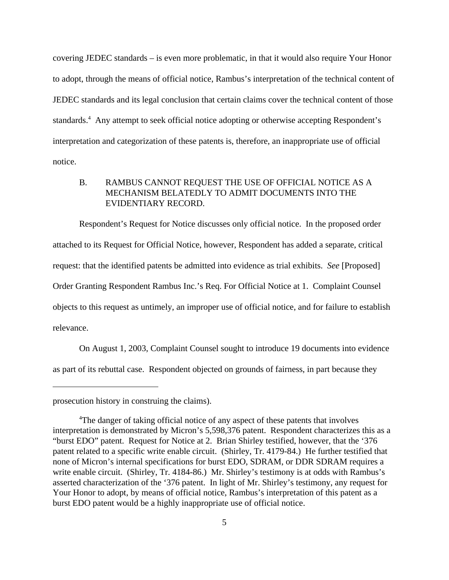covering JEDEC standards – is even more problematic, in that it would also require Your Honor to adopt, through the means of official notice, Rambus's interpretation of the technical content of JEDEC standards and its legal conclusion that certain claims cover the technical content of those standards.<sup>4</sup> Any attempt to seek official notice adopting or otherwise accepting Respondent's interpretation and categorization of these patents is, therefore, an inappropriate use of official notice.

## B. RAMBUS CANNOT REQUEST THE USE OF OFFICIAL NOTICE AS A MECHANISM BELATEDLY TO ADMIT DOCUMENTS INTO THE EVIDENTIARY RECORD.

Respondent's Request for Notice discusses only official notice. In the proposed order attached to its Request for Official Notice, however, Respondent has added a separate, critical request: that the identified patents be admitted into evidence as trial exhibits. *See* [Proposed] Order Granting Respondent Rambus Inc.'s Req. For Official Notice at 1. Complaint Counsel objects to this request as untimely, an improper use of official notice, and for failure to establish relevance.

On August 1, 2003, Complaint Counsel sought to introduce 19 documents into evidence as part of its rebuttal case. Respondent objected on grounds of fairness, in part because they

prosecution history in construing the claims).

<sup>&</sup>lt;sup>4</sup>The danger of taking official notice of any aspect of these patents that involves interpretation is demonstrated by Micron's 5,598,376 patent. Respondent characterizes this as a "burst EDO" patent. Request for Notice at 2. Brian Shirley testified, however, that the '376 patent related to a specific write enable circuit. (Shirley, Tr. 4179-84.) He further testified that none of Micron's internal specifications for burst EDO, SDRAM, or DDR SDRAM requires a write enable circuit. (Shirley, Tr. 4184-86.) Mr. Shirley's testimony is at odds with Rambus's asserted characterization of the '376 patent. In light of Mr. Shirley's testimony, any request for Your Honor to adopt, by means of official notice, Rambus's interpretation of this patent as a burst EDO patent would be a highly inappropriate use of official notice.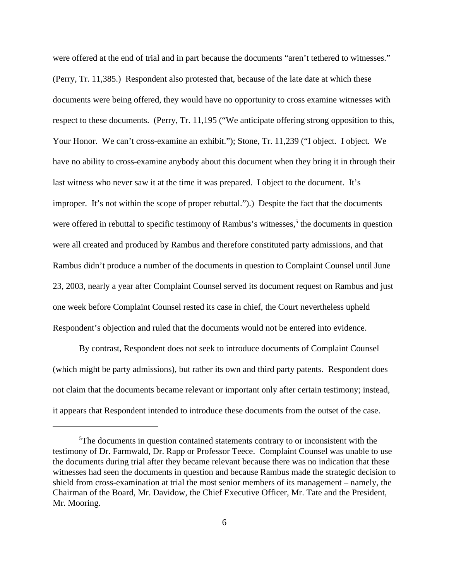were offered at the end of trial and in part because the documents "aren't tethered to witnesses." (Perry, Tr. 11,385.) Respondent also protested that, because of the late date at which these documents were being offered, they would have no opportunity to cross examine witnesses with respect to these documents. (Perry, Tr. 11,195 ("We anticipate offering strong opposition to this, Your Honor. We can't cross-examine an exhibit."); Stone, Tr. 11,239 ("I object. I object. We have no ability to cross-examine anybody about this document when they bring it in through their last witness who never saw it at the time it was prepared. I object to the document. It's improper. It's not within the scope of proper rebuttal.").) Despite the fact that the documents were offered in rebuttal to specific testimony of Rambus's witnesses,<sup>5</sup> the documents in question were all created and produced by Rambus and therefore constituted party admissions, and that Rambus didn't produce a number of the documents in question to Complaint Counsel until June 23, 2003, nearly a year after Complaint Counsel served its document request on Rambus and just one week before Complaint Counsel rested its case in chief, the Court nevertheless upheld Respondent's objection and ruled that the documents would not be entered into evidence.

By contrast, Respondent does not seek to introduce documents of Complaint Counsel (which might be party admissions), but rather its own and third party patents. Respondent does not claim that the documents became relevant or important only after certain testimony; instead, it appears that Respondent intended to introduce these documents from the outset of the case.

<sup>&</sup>lt;sup>5</sup>The documents in question contained statements contrary to or inconsistent with the testimony of Dr. Farmwald, Dr. Rapp or Professor Teece. Complaint Counsel was unable to use the documents during trial after they became relevant because there was no indication that these witnesses had seen the documents in question and because Rambus made the strategic decision to shield from cross-examination at trial the most senior members of its management – namely, the Chairman of the Board, Mr. Davidow, the Chief Executive Officer, Mr. Tate and the President, Mr. Mooring.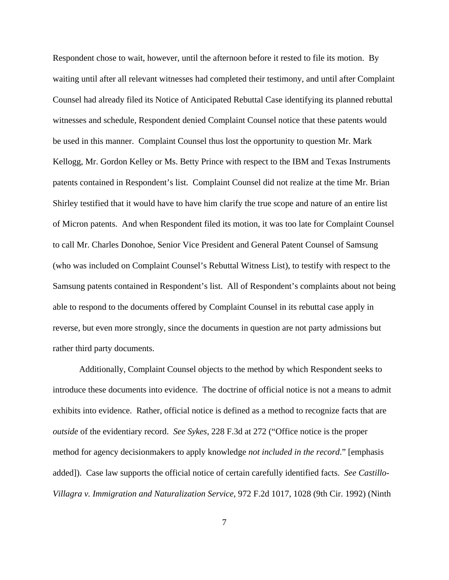Respondent chose to wait, however, until the afternoon before it rested to file its motion. By waiting until after all relevant witnesses had completed their testimony, and until after Complaint Counsel had already filed its Notice of Anticipated Rebuttal Case identifying its planned rebuttal witnesses and schedule, Respondent denied Complaint Counsel notice that these patents would be used in this manner. Complaint Counsel thus lost the opportunity to question Mr. Mark Kellogg, Mr. Gordon Kelley or Ms. Betty Prince with respect to the IBM and Texas Instruments patents contained in Respondent's list. Complaint Counsel did not realize at the time Mr. Brian Shirley testified that it would have to have him clarify the true scope and nature of an entire list of Micron patents. And when Respondent filed its motion, it was too late for Complaint Counsel to call Mr. Charles Donohoe, Senior Vice President and General Patent Counsel of Samsung (who was included on Complaint Counsel's Rebuttal Witness List), to testify with respect to the Samsung patents contained in Respondent's list. All of Respondent's complaints about not being able to respond to the documents offered by Complaint Counsel in its rebuttal case apply in reverse, but even more strongly, since the documents in question are not party admissions but rather third party documents.

Additionally, Complaint Counsel objects to the method by which Respondent seeks to introduce these documents into evidence. The doctrine of official notice is not a means to admit exhibits into evidence. Rather, official notice is defined as a method to recognize facts that are *outside* of the evidentiary record. *See Sykes*, 228 F.3d at 272 ("Office notice is the proper method for agency decisionmakers to apply knowledge *not included in the record*." [emphasis added]). Case law supports the official notice of certain carefully identified facts. *See Castillo-Villagra v. Immigration and Naturalization Service*, 972 F.2d 1017, 1028 (9th Cir. 1992) (Ninth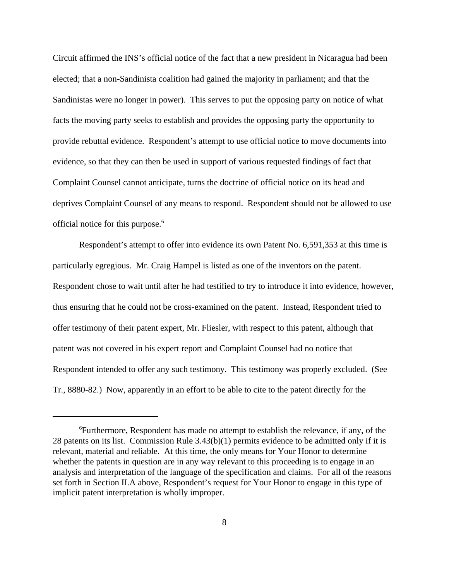Circuit affirmed the INS's official notice of the fact that a new president in Nicaragua had been elected; that a non-Sandinista coalition had gained the majority in parliament; and that the Sandinistas were no longer in power). This serves to put the opposing party on notice of what facts the moving party seeks to establish and provides the opposing party the opportunity to provide rebuttal evidence. Respondent's attempt to use official notice to move documents into evidence, so that they can then be used in support of various requested findings of fact that Complaint Counsel cannot anticipate, turns the doctrine of official notice on its head and deprives Complaint Counsel of any means to respond. Respondent should not be allowed to use official notice for this purpose.<sup>6</sup>

Respondent's attempt to offer into evidence its own Patent No. 6,591,353 at this time is particularly egregious. Mr. Craig Hampel is listed as one of the inventors on the patent. Respondent chose to wait until after he had testified to try to introduce it into evidence, however, thus ensuring that he could not be cross-examined on the patent. Instead, Respondent tried to offer testimony of their patent expert, Mr. Fliesler, with respect to this patent, although that patent was not covered in his expert report and Complaint Counsel had no notice that Respondent intended to offer any such testimony. This testimony was properly excluded. (See Tr., 8880-82.) Now, apparently in an effort to be able to cite to the patent directly for the

<sup>6</sup>Furthermore, Respondent has made no attempt to establish the relevance, if any, of the 28 patents on its list. Commission Rule 3.43(b)(1) permits evidence to be admitted only if it is relevant, material and reliable. At this time, the only means for Your Honor to determine whether the patents in question are in any way relevant to this proceeding is to engage in an analysis and interpretation of the language of the specification and claims. For all of the reasons set forth in Section II.A above, Respondent's request for Your Honor to engage in this type of implicit patent interpretation is wholly improper.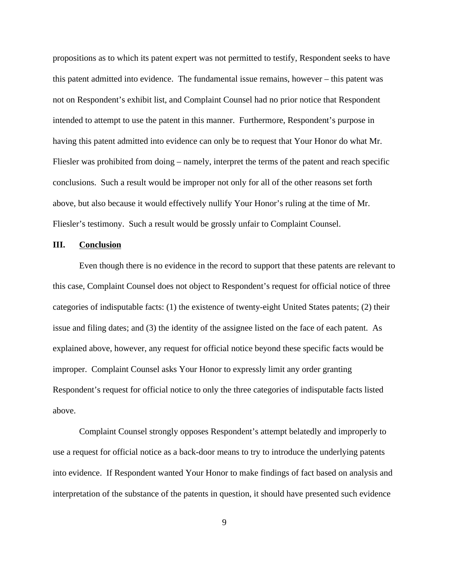propositions as to which its patent expert was not permitted to testify, Respondent seeks to have this patent admitted into evidence. The fundamental issue remains, however – this patent was not on Respondent's exhibit list, and Complaint Counsel had no prior notice that Respondent intended to attempt to use the patent in this manner. Furthermore, Respondent's purpose in having this patent admitted into evidence can only be to request that Your Honor do what Mr. Fliesler was prohibited from doing – namely, interpret the terms of the patent and reach specific conclusions. Such a result would be improper not only for all of the other reasons set forth above, but also because it would effectively nullify Your Honor's ruling at the time of Mr. Fliesler's testimony. Such a result would be grossly unfair to Complaint Counsel.

#### **III. Conclusion**

Even though there is no evidence in the record to support that these patents are relevant to this case, Complaint Counsel does not object to Respondent's request for official notice of three categories of indisputable facts: (1) the existence of twenty-eight United States patents; (2) their issue and filing dates; and (3) the identity of the assignee listed on the face of each patent. As explained above, however, any request for official notice beyond these specific facts would be improper. Complaint Counsel asks Your Honor to expressly limit any order granting Respondent's request for official notice to only the three categories of indisputable facts listed above.

Complaint Counsel strongly opposes Respondent's attempt belatedly and improperly to use a request for official notice as a back-door means to try to introduce the underlying patents into evidence. If Respondent wanted Your Honor to make findings of fact based on analysis and interpretation of the substance of the patents in question, it should have presented such evidence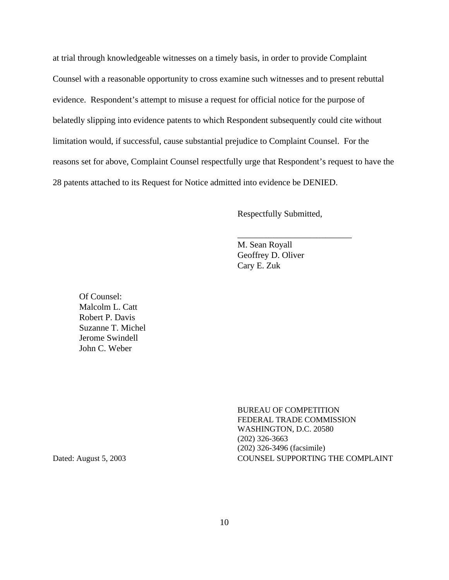at trial through knowledgeable witnesses on a timely basis, in order to provide Complaint Counsel with a reasonable opportunity to cross examine such witnesses and to present rebuttal evidence. Respondent's attempt to misuse a request for official notice for the purpose of belatedly slipping into evidence patents to which Respondent subsequently could cite without limitation would, if successful, cause substantial prejudice to Complaint Counsel. For the reasons set for above, Complaint Counsel respectfully urge that Respondent's request to have the 28 patents attached to its Request for Notice admitted into evidence be DENIED.

Respectfully Submitted,

\_\_\_\_\_\_\_\_\_\_\_\_\_\_\_\_\_\_\_\_\_\_\_\_\_\_

M. Sean Royall Geoffrey D. Oliver Cary E. Zuk

Of Counsel: Malcolm L. Catt Robert P. Davis Suzanne T. Michel Jerome Swindell John C. Weber

BUREAU OF COMPETITION FEDERAL TRADE COMMISSION WASHINGTON, D.C. 20580 (202) 326-3663 (202) 326-3496 (facsimile) Dated: August 5, 2003 COUNSEL SUPPORTING THE COMPLAINT